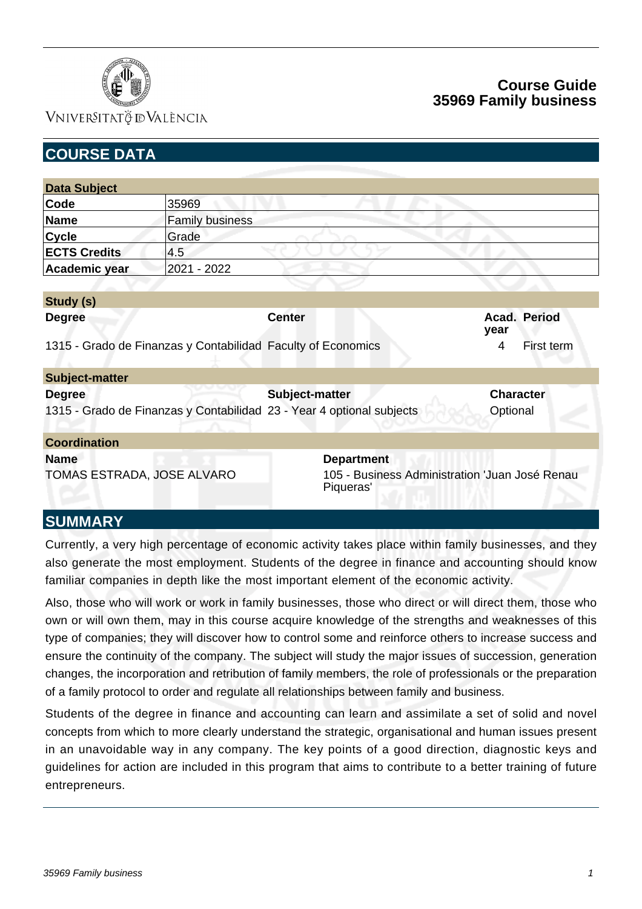

### VNIVERSITATÖ ID VALÈNCIA

## **Course Guide 35969 Family business**

| <b>COURSE DATA</b>         |                        |                                                                       |                                                |  |
|----------------------------|------------------------|-----------------------------------------------------------------------|------------------------------------------------|--|
|                            |                        |                                                                       |                                                |  |
| <b>Data Subject</b>        |                        |                                                                       |                                                |  |
| Code                       | 35969                  |                                                                       |                                                |  |
| <b>Name</b>                | <b>Family business</b> |                                                                       |                                                |  |
| <b>Cycle</b>               | Grade                  |                                                                       |                                                |  |
| <b>ECTS Credits</b>        | 4.5                    |                                                                       |                                                |  |
| Academic year              | 2021 - 2022            |                                                                       |                                                |  |
|                            |                        |                                                                       |                                                |  |
| Study (s)                  |                        |                                                                       |                                                |  |
| <b>Degree</b>              |                        | <b>Center</b>                                                         | Acad. Period<br>year                           |  |
|                            |                        | 1315 - Grado de Finanzas y Contabilidad Faculty of Economics          | 4<br>First term                                |  |
| Subject-matter             |                        |                                                                       |                                                |  |
| <b>Degree</b>              |                        | Subject-matter                                                        | <b>Character</b>                               |  |
|                            |                        | 1315 - Grado de Finanzas y Contabilidad 23 - Year 4 optional subjects | Optional                                       |  |
| <b>Coordination</b>        |                        |                                                                       |                                                |  |
| <b>Name</b>                |                        | <b>Department</b>                                                     |                                                |  |
| TOMAS ESTRADA, JOSE ALVARO |                        | Piqueras'                                                             | 105 - Business Administration 'Juan José Renau |  |
| NI IRARA A INVA            |                        |                                                                       |                                                |  |

### **SUMMARY**

Currently, a very high percentage of economic activity takes place within family businesses, and they also generate the most employment. Students of the degree in finance and accounting should know familiar companies in depth like the most important element of the economic activity.

Also, those who will work or work in family businesses, those who direct or will direct them, those who own or will own them, may in this course acquire knowledge of the strengths and weaknesses of this type of companies; they will discover how to control some and reinforce others to increase success and ensure the continuity of the company. The subject will study the major issues of succession, generation changes, the incorporation and retribution of family members, the role of professionals or the preparation of a family protocol to order and regulate all relationships between family and business.

Students of the degree in finance and accounting can learn and assimilate a set of solid and novel concepts from which to more clearly understand the strategic, organisational and human issues present in an unavoidable way in any company. The key points of a good direction, diagnostic keys and guidelines for action are included in this program that aims to contribute to a better training of future entrepreneurs.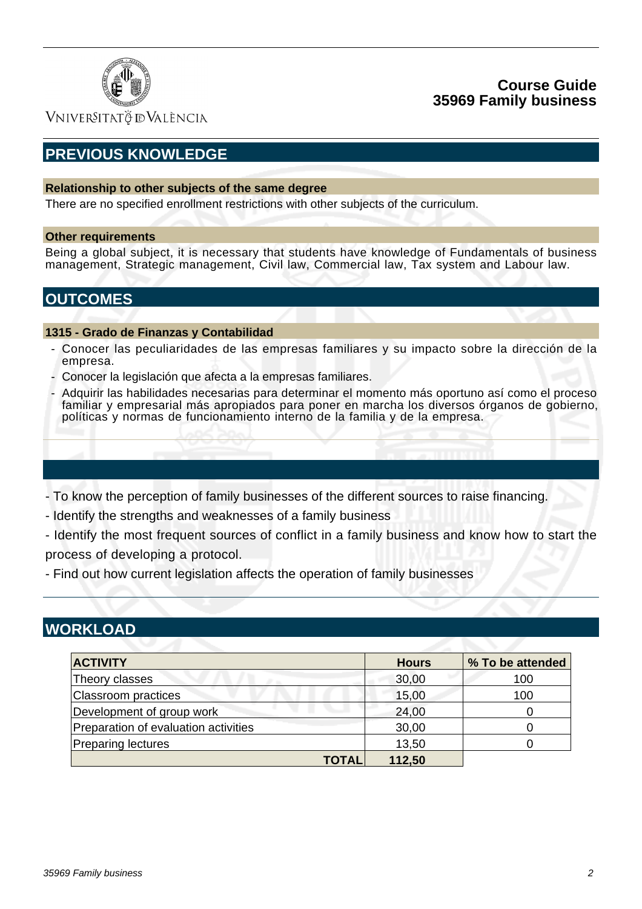

## **Course Guide 35969 Family business**

VNIVERSITATÖ IDVALÈNCIA

# **PREVIOUS KNOWLEDGE**

### **Relationship to other subjects of the same degree**

There are no specified enrollment restrictions with other subjects of the curriculum.

#### **Other requirements**

Being a global subject, it is necessary that students have knowledge of Fundamentals of business management, Strategic management, Civil law, Commercial law, Tax system and Labour law.

## **OUTCOMES**

#### **1315 - Grado de Finanzas y Contabilidad**

- Conocer las peculiaridades de las empresas familiares y su impacto sobre la dirección de la empresa.
- Conocer la legislación que afecta a la empresas familiares.
- Adquirir las habilidades necesarias para determinar el momento más oportuno así como el proceso familiar y empresarial más apropiados para poner en marcha los diversos órganos de gobierno, políticas y normas de funcionamiento interno de la familia y de la empresa.
- To know the perception of family businesses of the different sources to raise financing.
- Identify the strengths and weaknesses of a family business
- Identify the most frequent sources of conflict in a family business and know how to start the process of developing a protocol.
- Find out how current legislation affects the operation of family businesses

## **WORKLOAD**

| <b>ACTIVITY</b>                      | <b>Hours</b> | % To be attended |
|--------------------------------------|--------------|------------------|
| Theory classes                       | 30,00        | 100              |
| Classroom practices                  | 15,00        | 100              |
| Development of group work            | 24,00        |                  |
| Preparation of evaluation activities | 30,00        |                  |
| Preparing lectures                   | 13,50        |                  |
| <b>TOTAL</b>                         | 112,50       |                  |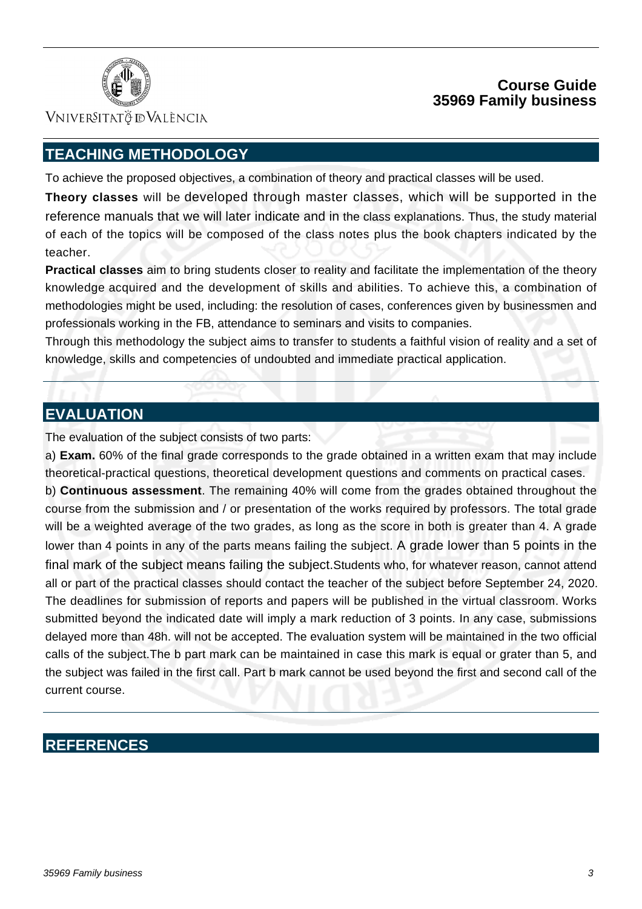

VNIVERSITATÖ ID VALÈNCIA

# **TEACHING METHODOLOGY**

To achieve the proposed objectives, a combination of theory and practical classes will be used.

**Theory classes** will be developed through master classes, which will be supported in the reference manuals that we will later indicate and in the class explanations. Thus, the study material of each of the topics will be composed of the class notes plus the book chapters indicated by the teacher.

**Practical classes** aim to bring students closer to reality and facilitate the implementation of the theory knowledge acquired and the development of skills and abilities. To achieve this, a combination of methodologies might be used, including: the resolution of cases, conferences given by businessmen and professionals working in the FB, attendance to seminars and visits to companies.

Through this methodology the subject aims to transfer to students a faithful vision of reality and a set of knowledge, skills and competencies of undoubted and immediate practical application.

## **EVALUATION**

The evaluation of the subject consists of two parts:

a) **Exam.** 60% of the final grade corresponds to the grade obtained in a written exam that may include theoretical-practical questions, theoretical development questions and comments on practical cases.

b) **Continuous assessment**. The remaining 40% will come from the grades obtained throughout the course from the submission and / or presentation of the works required by professors. The total grade will be a weighted average of the two grades, as long as the score in both is greater than 4. A grade lower than 4 points in any of the parts means failing the subject. A grade lower than 5 points in the final mark of the subject means failing the subject.Students who, for whatever reason, cannot attend all or part of the practical classes should contact the teacher of the subject before September 24, 2020. The deadlines for submission of reports and papers will be published in the virtual classroom. Works submitted beyond the indicated date will imply a mark reduction of 3 points. In any case, submissions delayed more than 48h. will not be accepted. The evaluation system will be maintained in the two official calls of the subject.The b part mark can be maintained in case this mark is equal or grater than 5, and the subject was failed in the first call. Part b mark cannot be used beyond the first and second call of the current course.

# **REFERENCES**